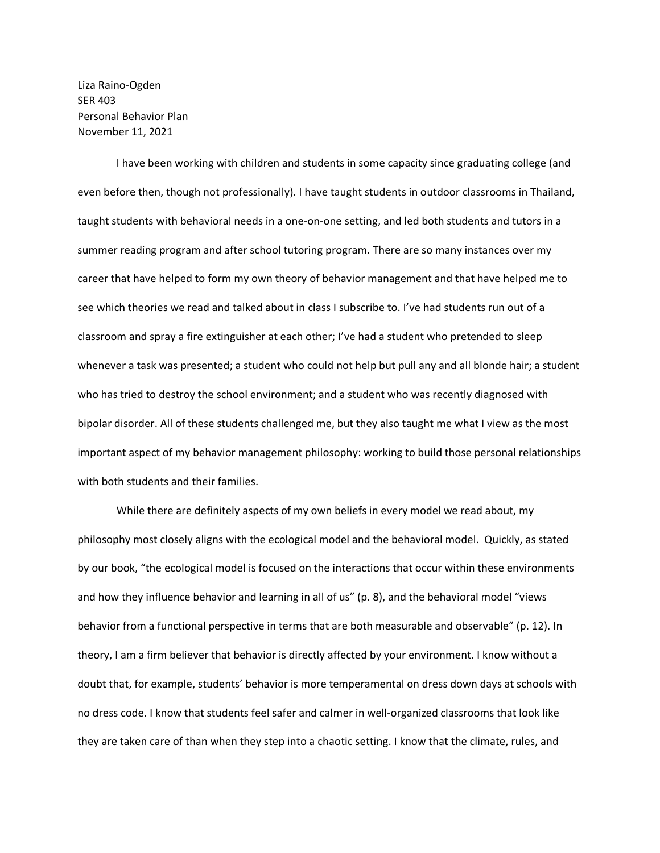Liza Raino-Ogden SER 403 Personal Behavior Plan November 11, 2021

I have been working with children and students in some capacity since graduating college (and even before then, though not professionally). I have taught students in outdoor classrooms in Thailand, taught students with behavioral needs in a one-on-one setting, and led both students and tutors in a summer reading program and after school tutoring program. There are so many instances over my career that have helped to form my own theory of behavior management and that have helped me to see which theories we read and talked about in class I subscribe to. I've had students run out of a classroom and spray a fire extinguisher at each other; I've had a student who pretended to sleep whenever a task was presented; a student who could not help but pull any and all blonde hair; a student who has tried to destroy the school environment; and a student who was recently diagnosed with bipolar disorder. All of these students challenged me, but they also taught me what I view as the most important aspect of my behavior management philosophy: working to build those personal relationships with both students and their families.

While there are definitely aspects of my own beliefs in every model we read about, my philosophy most closely aligns with the ecological model and the behavioral model. Quickly, as stated by our book, "the ecological model is focused on the interactions that occur within these environments and how they influence behavior and learning in all of us" (p. 8), and the behavioral model "views behavior from a functional perspective in terms that are both measurable and observable" (p. 12). In theory, I am a firm believer that behavior is directly affected by your environment. I know without a doubt that, for example, students' behavior is more temperamental on dress down days at schools with no dress code. I know that students feel safer and calmer in well-organized classrooms that look like they are taken care of than when they step into a chaotic setting. I know that the climate, rules, and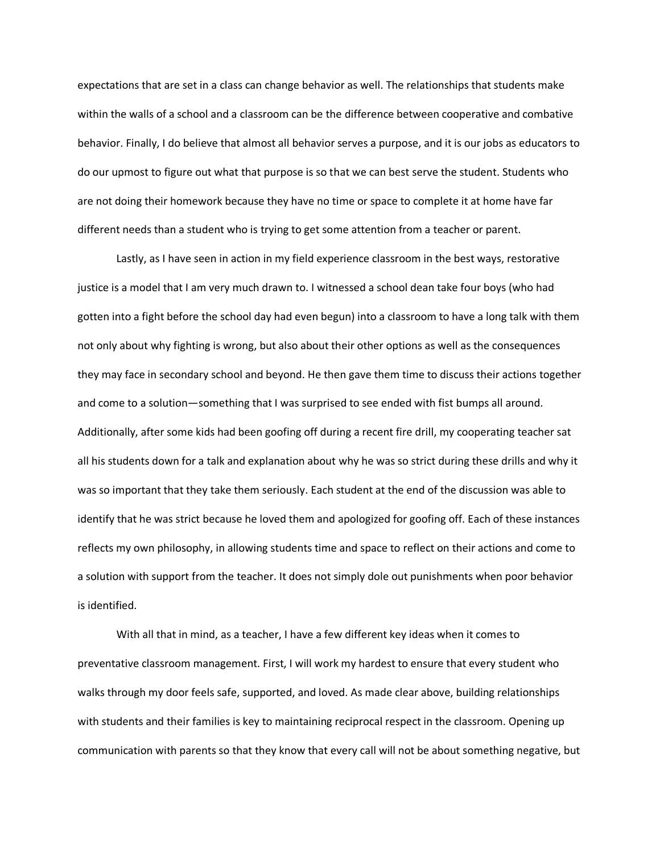expectations that are set in a class can change behavior as well. The relationships that students make within the walls of a school and a classroom can be the difference between cooperative and combative behavior. Finally, I do believe that almost all behavior serves a purpose, and it is our jobs as educators to do our upmost to figure out what that purpose is so that we can best serve the student. Students who are not doing their homework because they have no time or space to complete it at home have far different needs than a student who is trying to get some attention from a teacher or parent.

Lastly, as I have seen in action in my field experience classroom in the best ways, restorative justice is a model that I am very much drawn to. I witnessed a school dean take four boys (who had gotten into a fight before the school day had even begun) into a classroom to have a long talk with them not only about why fighting is wrong, but also about their other options as well as the consequences they may face in secondary school and beyond. He then gave them time to discuss their actions together and come to a solution—something that I was surprised to see ended with fist bumps all around. Additionally, after some kids had been goofing off during a recent fire drill, my cooperating teacher sat all his students down for a talk and explanation about why he was so strict during these drills and why it was so important that they take them seriously. Each student at the end of the discussion was able to identify that he was strict because he loved them and apologized for goofing off. Each of these instances reflects my own philosophy, in allowing students time and space to reflect on their actions and come to a solution with support from the teacher. It does not simply dole out punishments when poor behavior is identified.

With all that in mind, as a teacher, I have a few different key ideas when it comes to preventative classroom management. First, I will work my hardest to ensure that every student who walks through my door feels safe, supported, and loved. As made clear above, building relationships with students and their families is key to maintaining reciprocal respect in the classroom. Opening up communication with parents so that they know that every call will not be about something negative, but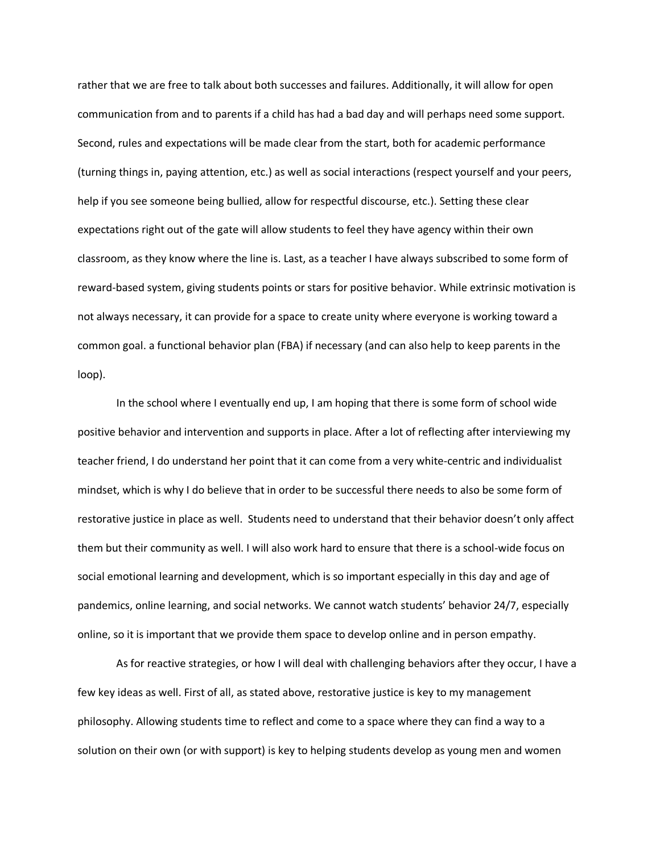rather that we are free to talk about both successes and failures. Additionally, it will allow for open communication from and to parents if a child has had a bad day and will perhaps need some support. Second, rules and expectations will be made clear from the start, both for academic performance (turning things in, paying attention, etc.) as well as social interactions (respect yourself and your peers, help if you see someone being bullied, allow for respectful discourse, etc.). Setting these clear expectations right out of the gate will allow students to feel they have agency within their own classroom, as they know where the line is. Last, as a teacher I have always subscribed to some form of reward-based system, giving students points or stars for positive behavior. While extrinsic motivation is not always necessary, it can provide for a space to create unity where everyone is working toward a common goal. a functional behavior plan (FBA) if necessary (and can also help to keep parents in the loop).

In the school where I eventually end up, I am hoping that there is some form of school wide positive behavior and intervention and supports in place. After a lot of reflecting after interviewing my teacher friend, I do understand her point that it can come from a very white-centric and individualist mindset, which is why I do believe that in order to be successful there needs to also be some form of restorative justice in place as well. Students need to understand that their behavior doesn't only affect them but their community as well. I will also work hard to ensure that there is a school-wide focus on social emotional learning and development, which is so important especially in this day and age of pandemics, online learning, and social networks. We cannot watch students' behavior 24/7, especially online, so it is important that we provide them space to develop online and in person empathy.

As for reactive strategies, or how I will deal with challenging behaviors after they occur, I have a few key ideas as well. First of all, as stated above, restorative justice is key to my management philosophy. Allowing students time to reflect and come to a space where they can find a way to a solution on their own (or with support) is key to helping students develop as young men and women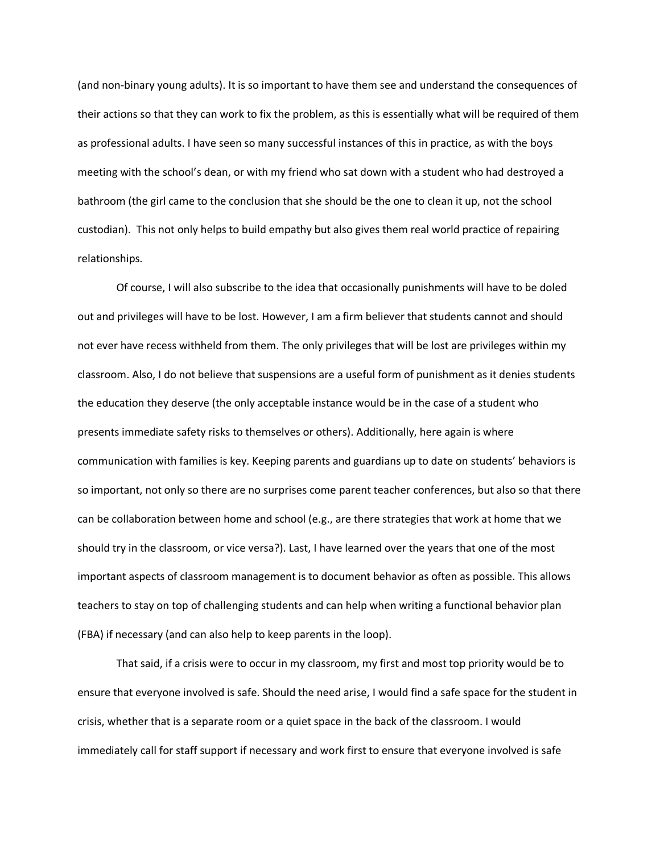(and non-binary young adults). It is so important to have them see and understand the consequences of their actions so that they can work to fix the problem, as this is essentially what will be required of them as professional adults. I have seen so many successful instances of this in practice, as with the boys meeting with the school's dean, or with my friend who sat down with a student who had destroyed a bathroom (the girl came to the conclusion that she should be the one to clean it up, not the school custodian). This not only helps to build empathy but also gives them real world practice of repairing relationships.

Of course, I will also subscribe to the idea that occasionally punishments will have to be doled out and privileges will have to be lost. However, I am a firm believer that students cannot and should not ever have recess withheld from them. The only privileges that will be lost are privileges within my classroom. Also, I do not believe that suspensions are a useful form of punishment as it denies students the education they deserve (the only acceptable instance would be in the case of a student who presents immediate safety risks to themselves or others). Additionally, here again is where communication with families is key. Keeping parents and guardians up to date on students' behaviors is so important, not only so there are no surprises come parent teacher conferences, but also so that there can be collaboration between home and school (e.g., are there strategies that work at home that we should try in the classroom, or vice versa?). Last, I have learned over the years that one of the most important aspects of classroom management is to document behavior as often as possible. This allows teachers to stay on top of challenging students and can help when writing a functional behavior plan (FBA) if necessary (and can also help to keep parents in the loop).

That said, if a crisis were to occur in my classroom, my first and most top priority would be to ensure that everyone involved is safe. Should the need arise, I would find a safe space for the student in crisis, whether that is a separate room or a quiet space in the back of the classroom. I would immediately call for staff support if necessary and work first to ensure that everyone involved is safe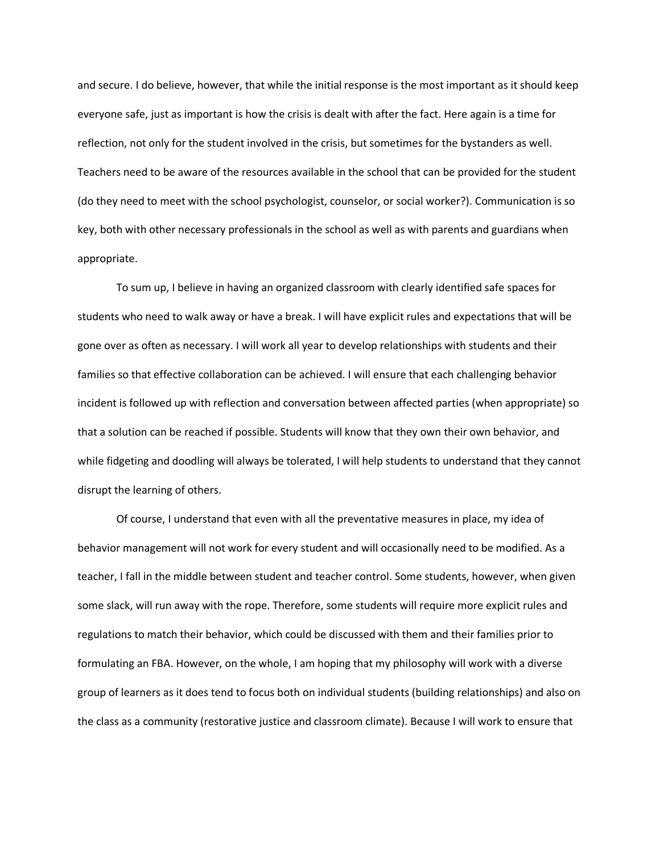and secure. I do believe, however, that while the initial response is the most important as it should keep everyone safe, just as important is how the crisis is dealt with after the fact. Here again is a time for reflection, not only for the student involved in the crisis, but sometimes for the bystanders as well. Teachers need to be aware of the resources available in the school that can be provided for the student (do they need to meet with the school psychologist, counselor, or social worker?). Communication is so key, both with other necessary professionals in the school as well as with parents and guardians when appropriate.

To sum up, I believe in having an organized classroom with clearly identified safe spaces for students who need to walk away or have a break. I will have explicit rules and expectations that will be gone over as often as necessary. I will work all year to develop relationships with students and their families so that effective collaboration can be achieved. I will ensure that each challenging behavior incident is followed up with reflection and conversation between affected parties (when appropriate) so that a solution can be reached if possible. Students will know that they own their own behavior, and while fidgeting and doodling will always be tolerated, I will help students to understand that they cannot disrupt the learning of others.

Of course, I understand that even with all the preventative measures in place, my idea of behavior management will not work for every student and will occasionally need to be modified. As a teacher, I fall in the middle between student and teacher control. Some students, however, when given some slack, will run away with the rope. Therefore, some students will require more explicit rules and regulations to match their behavior, which could be discussed with them and their families prior to formulating an FBA. However, on the whole, I am hoping that my philosophy will work with a diverse group of learners as it does tend to focus both on individual students (building relationships) and also on the class as a community (restorative justice and classroom climate). Because I will work to ensure that